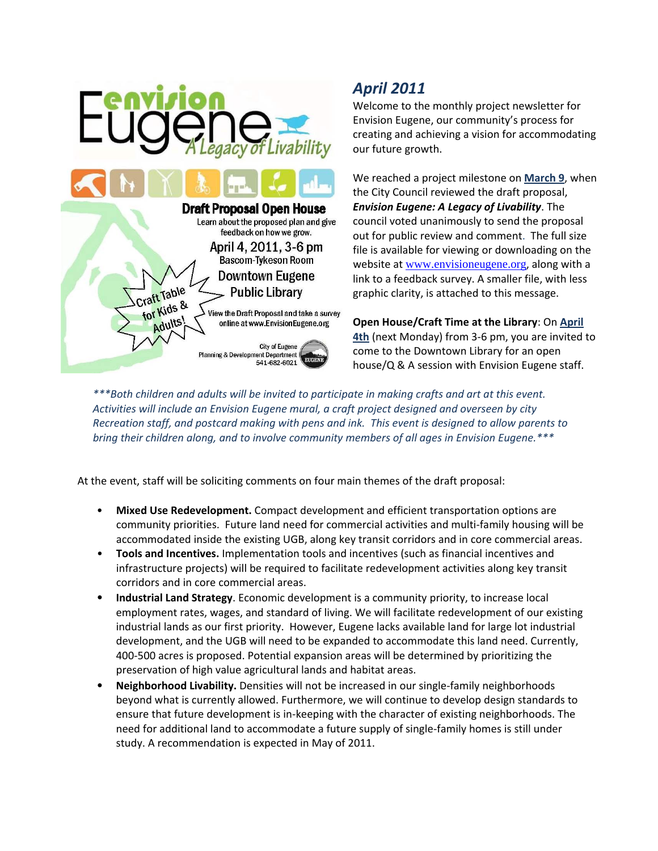

## *April 2011*

Welcome to the monthly project newsletter for Envision Eugene, our community's process for creating and achieving a vision for accommodating our future growth.

We reached a project milestone on **March 9**, when the City Council reviewed the draft proposal, *Envision Eugene: A Legacy of Livability*. The council voted unanimously to send the proposal out for public review and comment. The full size file is available for viewing or downloading on the website at [www.envisioneugene.org](http://www.envisioneugene.org/), along with a link to a feedback survey. A smaller file, with less graphic clarity, is attached to this message.

**Open House/Craft Time at the Library**: On **April 4th** (next Monday) from 3‐6 pm, you are invited to come to the Downtown Library for an open house/Q & A session with Envision Eugene staff.

*\*\*\*Both children and adults will be invited to participate in making crafts and art at this event. Activities will include an Envision Eugene mural, a craft project designed and overseen by city* Recreation staff, and postcard making with pens and ink. This event is designed to allow parents to *bring their children along, and to involve community members of all ages in Envision Eugene.\*\*\**

At the event, staff will be soliciting comments on four main themes of the draft proposal:

- **Mixed Use Redevelopment.** Compact development and efficient transportation options are community priorities. Future land need for commercial activities and multi‐family housing will be accommodated inside the existing UGB, along key transit corridors and in core commercial areas.
- **Tools and Incentives.** Implementation tools and incentives (such as financial incentives and infrastructure projects) will be required to facilitate redevelopment activities along key transit corridors and in core commercial areas.
- **Industrial Land Strategy**. Economic development is a community priority, to increase local employment rates, wages, and standard of living. We will facilitate redevelopment of our existing industrial lands as our first priority. However, Eugene lacks available land for large lot industrial development, and the UGB will need to be expanded to accommodate this land need. Currently, 400‐500 acres is proposed. Potential expansion areas will be determined by prioritizing the preservation of high value agricultural lands and habitat areas.
- **Neighborhood Livability.** Densities will not be increased in our single‐family neighborhoods beyond what is currently allowed. Furthermore, we will continue to develop design standards to ensure that future development is in-keeping with the character of existing neighborhoods. The need for additional land to accommodate a future supply of single‐family homes is still under study. A recommendation is expected in May of 2011.